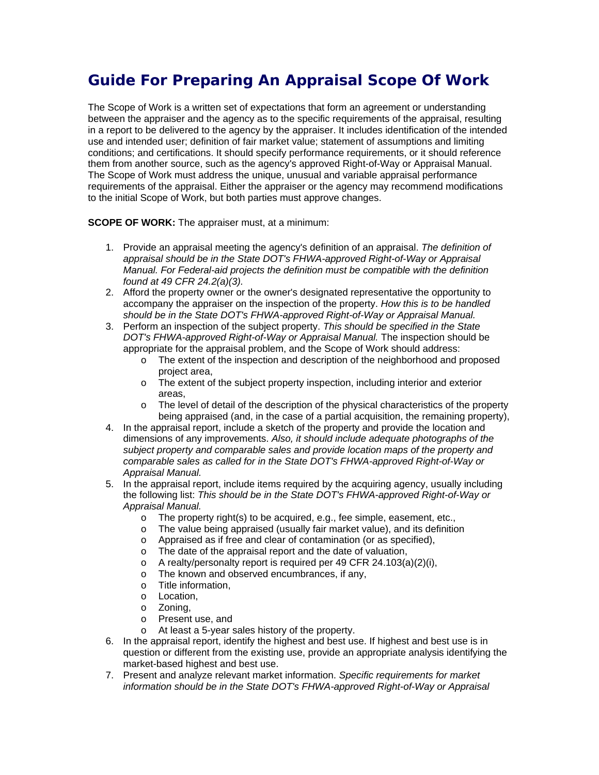# **Guide For Preparing An Appraisal Scope Of Work**

The Scope of Work is a written set of expectations that form an agreement or understanding between the appraiser and the agency as to the specific requirements of the appraisal, resulting in a report to be delivered to the agency by the appraiser. It includes identification of the intended use and intended user; definition of fair market value; statement of assumptions and limiting conditions; and certifications. It should specify performance requirements, or it should reference them from another source, such as the agency's approved Right-of-Way or Appraisal Manual. The Scope of Work must address the unique, unusual and variable appraisal performance requirements of the appraisal. Either the appraiser or the agency may recommend modifications to the initial Scope of Work, but both parties must approve changes.

**SCOPE OF WORK:** The appraiser must, at a minimum:

- 1. Provide an appraisal meeting the agency's definition of an appraisal. *The definition of appraisal should be in the State DOT's FHWA-approved Right-of-Way or Appraisal Manual. For Federal-aid projects the definition must be compatible with the definition found at 49 CFR 24.2(a)(3).*
- 2. Afford the property owner or the owner's designated representative the opportunity to accompany the appraiser on the inspection of the property. *How this is to be handled should be in the State DOT's FHWA-approved Right-of-Way or Appraisal Manual.*
- 3. Perform an inspection of the subject property. *This should be specified in the State DOT's FHWA-approved Right-of-Way or Appraisal Manual.* The inspection should be appropriate for the appraisal problem, and the Scope of Work should address:
	- o The extent of the inspection and description of the neighborhood and proposed project area,
	- o The extent of the subject property inspection, including interior and exterior areas,
	- $\circ$  The level of detail of the description of the physical characteristics of the property being appraised (and, in the case of a partial acquisition, the remaining property),
- 4. In the appraisal report, include a sketch of the property and provide the location and dimensions of any improvements. *Also, it should include adequate photographs of the subject property and comparable sales and provide location maps of the property and comparable sales as called for in the State DOT's FHWA-approved Right-of-Way or Appraisal Manual.*
- 5. In the appraisal report, include items required by the acquiring agency, usually including the following list: *This should be in the State DOT's FHWA-approved Right-of-Way or Appraisal Manual.* 
	- o The property right(s) to be acquired, e.g., fee simple, easement, etc.,
	- o The value being appraised (usually fair market value), and its definition
	- o Appraised as if free and clear of contamination (or as specified),
	- o The date of the appraisal report and the date of valuation,
	- o A realty/personalty report is required per 49 CFR 24.103(a)(2)(i),
	- o The known and observed encumbrances, if any,
	- o Title information,
	- o Location,
	- o Zoning,
	- o Present use, and
	- o At least a 5-year sales history of the property.
- 6. In the appraisal report, identify the highest and best use. If highest and best use is in question or different from the existing use, provide an appropriate analysis identifying the market-based highest and best use.
- 7. Present and analyze relevant market information. *Specific requirements for market information should be in the State DOT's FHWA-approved Right-of-Way or Appraisal*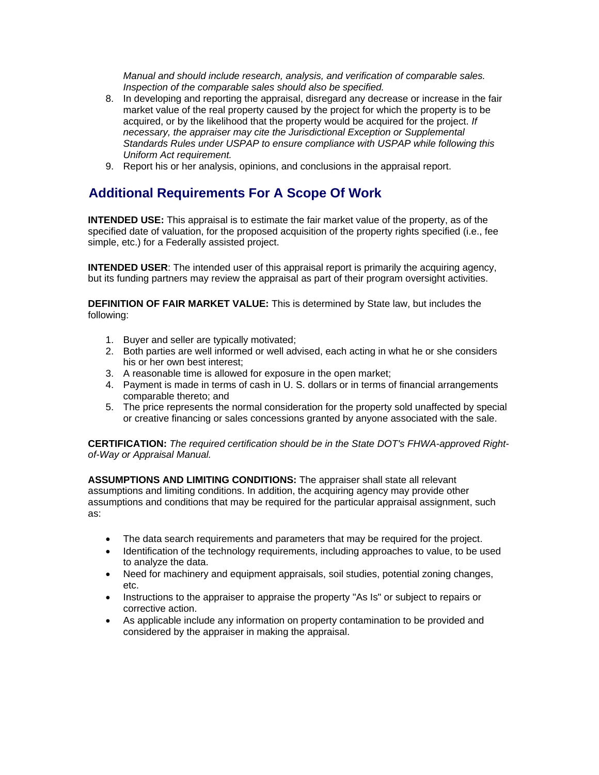*Manual and should include research, analysis, and verification of comparable sales. Inspection of the comparable sales should also be specified.*

- 8. In developing and reporting the appraisal, disregard any decrease or increase in the fair market value of the real property caused by the project for which the property is to be acquired, or by the likelihood that the property would be acquired for the project. *If necessary, the appraiser may cite the Jurisdictional Exception or Supplemental Standards Rules under USPAP to ensure compliance with USPAP while following this Uniform Act requirement.*
- 9. Report his or her analysis, opinions, and conclusions in the appraisal report.

# **Additional Requirements For A Scope Of Work**

**INTENDED USE:** This appraisal is to estimate the fair market value of the property, as of the specified date of valuation, for the proposed acquisition of the property rights specified (i.e., fee simple, etc.) for a Federally assisted project.

**INTENDED USER**: The intended user of this appraisal report is primarily the acquiring agency, but its funding partners may review the appraisal as part of their program oversight activities.

**DEFINITION OF FAIR MARKET VALUE:** This is determined by State law, but includes the following:

- 1. Buyer and seller are typically motivated;
- 2. Both parties are well informed or well advised, each acting in what he or she considers his or her own best interest;
- 3. A reasonable time is allowed for exposure in the open market;
- 4. Payment is made in terms of cash in U. S. dollars or in terms of financial arrangements comparable thereto; and
- 5. The price represents the normal consideration for the property sold unaffected by special or creative financing or sales concessions granted by anyone associated with the sale.

**CERTIFICATION:** *The required certification should be in the State DOT's FHWA-approved Rightof-Way or Appraisal Manual.*

**ASSUMPTIONS AND LIMITING CONDITIONS:** The appraiser shall state all relevant assumptions and limiting conditions. In addition, the acquiring agency may provide other assumptions and conditions that may be required for the particular appraisal assignment, such as:

- The data search requirements and parameters that may be required for the project.
- Identification of the technology requirements, including approaches to value, to be used to analyze the data.
- Need for machinery and equipment appraisals, soil studies, potential zoning changes, etc.
- Instructions to the appraiser to appraise the property "As Is" or subject to repairs or corrective action.
- As applicable include any information on property contamination to be provided and considered by the appraiser in making the appraisal.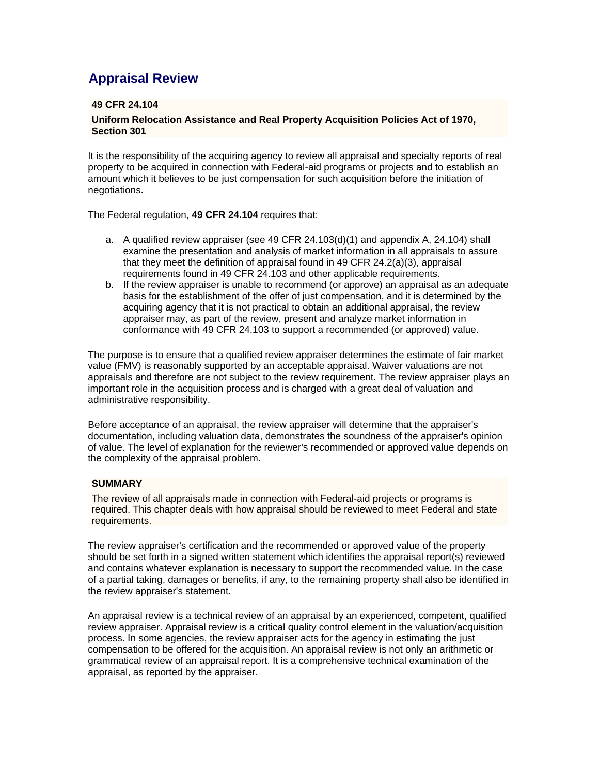# **Appraisal Review**

#### **49 CFR 24.104**

#### **Uniform Relocation Assistance and Real Property Acquisition Policies Act of 1970, Section 301**

It is the responsibility of the acquiring agency to review all appraisal and specialty reports of real property to be acquired in connection with Federal-aid programs or projects and to establish an amount which it believes to be just compensation for such acquisition before the initiation of negotiations.

The Federal regulation, **49 CFR 24.104** requires that:

- a. A qualified review appraiser (see 49 CFR 24.103(d)(1) and appendix A, 24.104) shall examine the presentation and analysis of market information in all appraisals to assure that they meet the definition of appraisal found in 49 CFR  $24.2(a)(3)$ , appraisal requirements found in 49 CFR 24.103 and other applicable requirements.
- b. If the review appraiser is unable to recommend (or approve) an appraisal as an adequate basis for the establishment of the offer of just compensation, and it is determined by the acquiring agency that it is not practical to obtain an additional appraisal, the review appraiser may, as part of the review, present and analyze market information in conformance with 49 CFR 24.103 to support a recommended (or approved) value.

The purpose is to ensure that a qualified review appraiser determines the estimate of fair market value (FMV) is reasonably supported by an acceptable appraisal. Waiver valuations are not appraisals and therefore are not subject to the review requirement. The review appraiser plays an important role in the acquisition process and is charged with a great deal of valuation and administrative responsibility.

Before acceptance of an appraisal, the review appraiser will determine that the appraiser's documentation, including valuation data, demonstrates the soundness of the appraiser's opinion of value. The level of explanation for the reviewer's recommended or approved value depends on the complexity of the appraisal problem.

#### **SUMMARY**

The review of all appraisals made in connection with Federal-aid projects or programs is required. This chapter deals with how appraisal should be reviewed to meet Federal and state requirements.

The review appraiser's certification and the recommended or approved value of the property should be set forth in a signed written statement which identifies the appraisal report(s) reviewed and contains whatever explanation is necessary to support the recommended value. In the case of a partial taking, damages or benefits, if any, to the remaining property shall also be identified in the review appraiser's statement.

An appraisal review is a technical review of an appraisal by an experienced, competent, qualified review appraiser. Appraisal review is a critical quality control element in the valuation/acquisition process. In some agencies, the review appraiser acts for the agency in estimating the just compensation to be offered for the acquisition. An appraisal review is not only an arithmetic or grammatical review of an appraisal report. It is a comprehensive technical examination of the appraisal, as reported by the appraiser.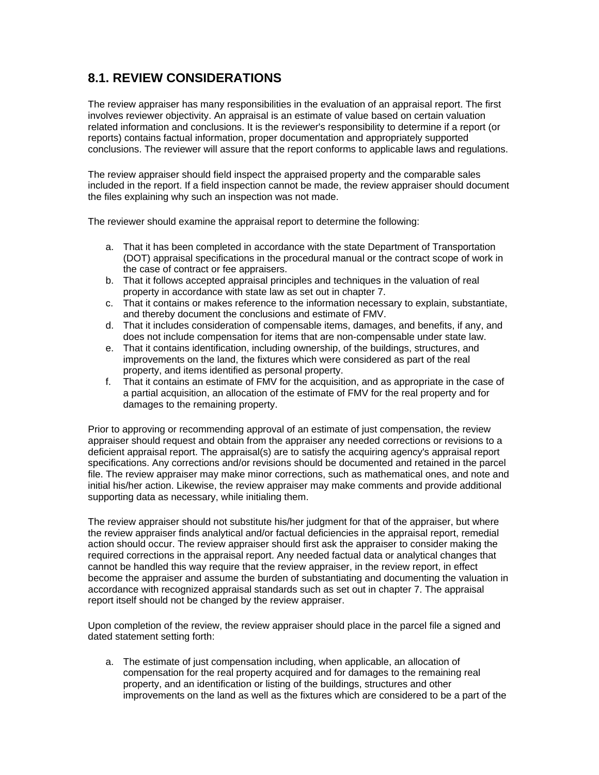### **8.1. REVIEW CONSIDERATIONS**

The review appraiser has many responsibilities in the evaluation of an appraisal report. The first involves reviewer objectivity. An appraisal is an estimate of value based on certain valuation related information and conclusions. It is the reviewer's responsibility to determine if a report (or reports) contains factual information, proper documentation and appropriately supported conclusions. The reviewer will assure that the report conforms to applicable laws and regulations.

The review appraiser should field inspect the appraised property and the comparable sales included in the report. If a field inspection cannot be made, the review appraiser should document the files explaining why such an inspection was not made.

The reviewer should examine the appraisal report to determine the following:

- a. That it has been completed in accordance with the state Department of Transportation (DOT) appraisal specifications in the procedural manual or the contract scope of work in the case of contract or fee appraisers.
- b. That it follows accepted appraisal principles and techniques in the valuation of real property in accordance with state law as set out in chapter 7.
- c. That it contains or makes reference to the information necessary to explain, substantiate, and thereby document the conclusions and estimate of FMV.
- d. That it includes consideration of compensable items, damages, and benefits, if any, and does not include compensation for items that are non-compensable under state law.
- e. That it contains identification, including ownership, of the buildings, structures, and improvements on the land, the fixtures which were considered as part of the real property, and items identified as personal property.
- f. That it contains an estimate of FMV for the acquisition, and as appropriate in the case of a partial acquisition, an allocation of the estimate of FMV for the real property and for damages to the remaining property.

Prior to approving or recommending approval of an estimate of just compensation, the review appraiser should request and obtain from the appraiser any needed corrections or revisions to a deficient appraisal report. The appraisal(s) are to satisfy the acquiring agency's appraisal report specifications. Any corrections and/or revisions should be documented and retained in the parcel file. The review appraiser may make minor corrections, such as mathematical ones, and note and initial his/her action. Likewise, the review appraiser may make comments and provide additional supporting data as necessary, while initialing them.

The review appraiser should not substitute his/her judgment for that of the appraiser, but where the review appraiser finds analytical and/or factual deficiencies in the appraisal report, remedial action should occur. The review appraiser should first ask the appraiser to consider making the required corrections in the appraisal report. Any needed factual data or analytical changes that cannot be handled this way require that the review appraiser, in the review report, in effect become the appraiser and assume the burden of substantiating and documenting the valuation in accordance with recognized appraisal standards such as set out in chapter 7. The appraisal report itself should not be changed by the review appraiser.

Upon completion of the review, the review appraiser should place in the parcel file a signed and dated statement setting forth:

a. The estimate of just compensation including, when applicable, an allocation of compensation for the real property acquired and for damages to the remaining real property, and an identification or listing of the buildings, structures and other improvements on the land as well as the fixtures which are considered to be a part of the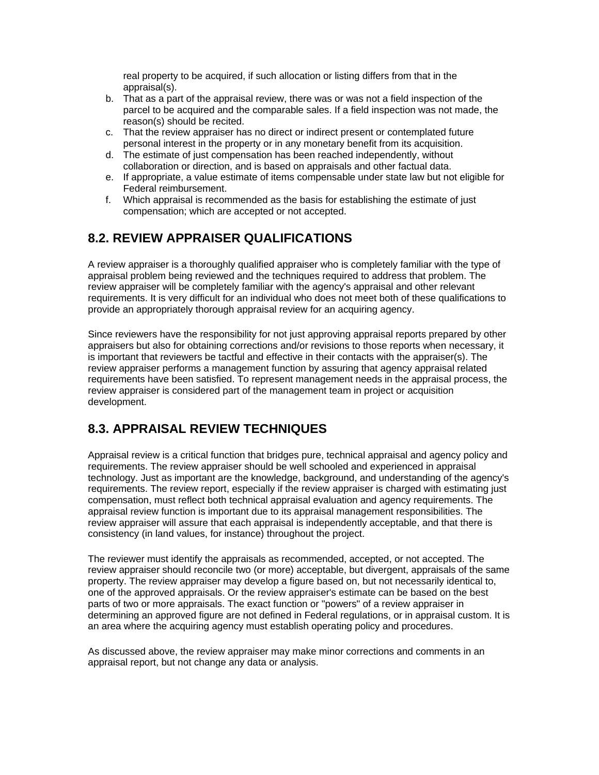real property to be acquired, if such allocation or listing differs from that in the appraisal(s).

- b. That as a part of the appraisal review, there was or was not a field inspection of the parcel to be acquired and the comparable sales. If a field inspection was not made, the reason(s) should be recited.
- c. That the review appraiser has no direct or indirect present or contemplated future personal interest in the property or in any monetary benefit from its acquisition.
- d. The estimate of just compensation has been reached independently, without collaboration or direction, and is based on appraisals and other factual data.
- e. If appropriate, a value estimate of items compensable under state law but not eligible for Federal reimbursement.
- f. Which appraisal is recommended as the basis for establishing the estimate of just compensation; which are accepted or not accepted.

## **8.2. REVIEW APPRAISER QUALIFICATIONS**

A review appraiser is a thoroughly qualified appraiser who is completely familiar with the type of appraisal problem being reviewed and the techniques required to address that problem. The review appraiser will be completely familiar with the agency's appraisal and other relevant requirements. It is very difficult for an individual who does not meet both of these qualifications to provide an appropriately thorough appraisal review for an acquiring agency.

Since reviewers have the responsibility for not just approving appraisal reports prepared by other appraisers but also for obtaining corrections and/or revisions to those reports when necessary, it is important that reviewers be tactful and effective in their contacts with the appraiser(s). The review appraiser performs a management function by assuring that agency appraisal related requirements have been satisfied. To represent management needs in the appraisal process, the review appraiser is considered part of the management team in project or acquisition development.

### **8.3. APPRAISAL REVIEW TECHNIQUES**

Appraisal review is a critical function that bridges pure, technical appraisal and agency policy and requirements. The review appraiser should be well schooled and experienced in appraisal technology. Just as important are the knowledge, background, and understanding of the agency's requirements. The review report, especially if the review appraiser is charged with estimating just compensation, must reflect both technical appraisal evaluation and agency requirements. The appraisal review function is important due to its appraisal management responsibilities. The review appraiser will assure that each appraisal is independently acceptable, and that there is consistency (in land values, for instance) throughout the project.

The reviewer must identify the appraisals as recommended, accepted, or not accepted. The review appraiser should reconcile two (or more) acceptable, but divergent, appraisals of the same property. The review appraiser may develop a figure based on, but not necessarily identical to, one of the approved appraisals. Or the review appraiser's estimate can be based on the best parts of two or more appraisals. The exact function or "powers" of a review appraiser in determining an approved figure are not defined in Federal regulations, or in appraisal custom. It is an area where the acquiring agency must establish operating policy and procedures.

As discussed above, the review appraiser may make minor corrections and comments in an appraisal report, but not change any data or analysis.